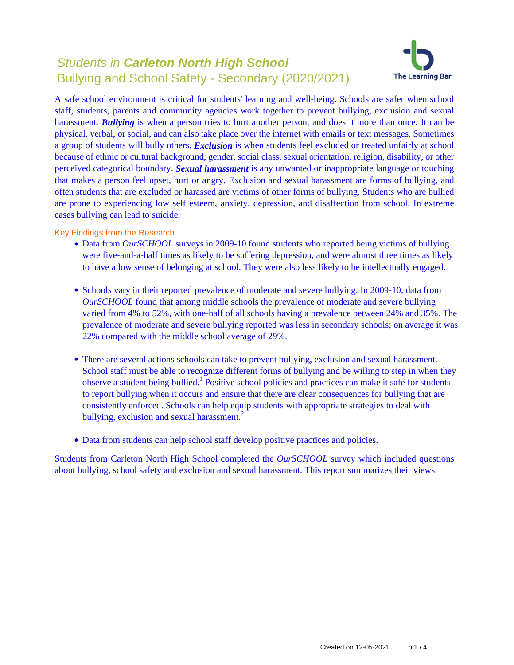# Students in **Carleton North High School** Bullying and School Safety - Secondary (2020/2021)



A safe school environment is critical for students' learning and well-being. Schools are safer when school staff, students, parents and community agencies work together to prevent bullying, exclusion and sexual harassment. **Bullying** is when a person tries to hurt another person, and does it more than once. It can be physical, verbal, or social, and can also take place over the internet with emails or text messages. Sometimes a group of students will bully others. *Exclusion* is when students feel excluded or treated unfairly at school because of ethnic or cultural background, gender, social class, sexual orientation, religion, disability, or other perceived categorical boundary. *Sexual harassment* is any unwanted or inappropriate language or touching that makes a person feel upset, hurt or angry. Exclusion and sexual harassment are forms of bullying, and often students that are excluded or harassed are victims of other forms of bullying. Students who are bullied are prone to experiencing low self esteem, anxiety, depression, and disaffection from school. In extreme cases bullying can lead to suicide.

Key Findings from the Research

- Data from *OurSCHOOL* surveys in 2009-10 found students who reported being victims of bullying were five-and-a-half times as likely to be suffering depression, and were almost three times as likely to have a low sense of belonging at school. They were also less likely to be intellectually engaged.
- Schools vary in their reported prevalence of moderate and severe bullying. In 2009-10, data from *OurSCHOOL* found that among middle schools the prevalence of moderate and severe bullying varied from 4% to 52%, with one-half of all schools having a prevalence between 24% and 35%. The prevalence of moderate and severe bullying reported was less in secondary schools; on average it was 22% compared with the middle school average of 29%.
- There are several actions schools can take to prevent bullying, exclusion and sexual harassment. School staff must be able to recognize different forms of bullying and be willing to step in when they observe a student being bullied.<sup>1</sup> Positive school policies and practices can make it safe for students to report bullying when it occurs and ensure that there are clear consequences for bullying that are consistently enforced. Schools can help equip students with appropriate strategies to deal with bullying, exclusion and sexual harassment.<sup>2</sup>
- Data from students can help school staff develop positive practices and policies.

Students from Carleton North High School completed the *OurSCHOOL* survey which included questions about bullying, school safety and exclusion and sexual harassment. This report summarizes their views.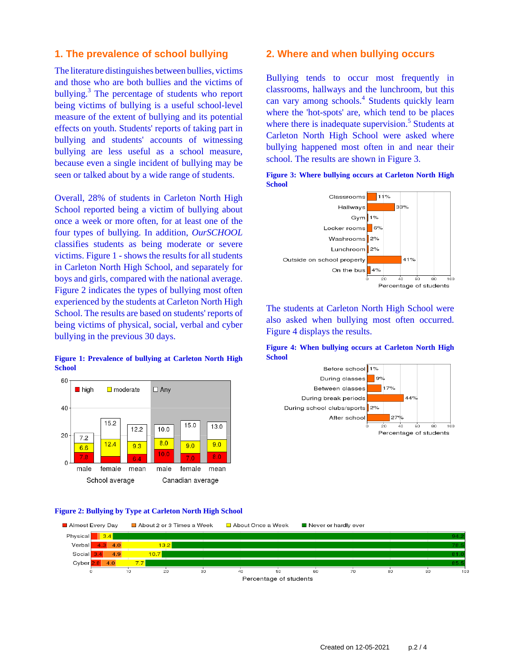# **1. The prevalence of school bullying**

The literature distinguishes between bullies, victims and those who are both bullies and the victims of bullying.<sup>3</sup> The percentage of students who report being victims of bullying is a useful school-level measure of the extent of bullying and its potential effects on youth. Students' reports of taking part in bullying and students' accounts of witnessing bullying are less useful as a school measure, because even a single incident of bullying may be seen or talked about by a wide range of students.

Overall, 28% of students in Carleton North High School reported being a victim of bullying about once a week or more often, for at least one of the four types of bullying. In addition, *OurSCHOOL* classifies students as being moderate or severe victims. Figure 1 - shows the results for all students in Carleton North High School, and separately for boys and girls, compared with the national average. Figure 2 indicates the types of bullying most often experienced by the students at Carleton North High School. The results are based on students' reports of being victims of physical, social, verbal and cyber bullying in the previous 30 days.

#### **Figure 1: Prevalence of bullying at Carleton North High School**



#### **Figure 2: Bullying by Type at Carleton North High School**



### **2. Where and when bullying occurs**

Bullying tends to occur most frequently in classrooms, hallways and the lunchroom, but this can vary among schools.<sup>4</sup> Students quickly learn where the 'hot-spots' are, which tend to be places where there is inadequate supervision.<sup>5</sup> Students at Carleton North High School were asked where bullying happened most often in and near their school. The results are shown in Figure 3.

**Figure 3: Where bullying occurs at Carleton North High**



The students at Carleton North High School were also asked when bullying most often occurred. Figure 4 displays the results.

**Figure 4: When bullying occurs at Carleton North High School**

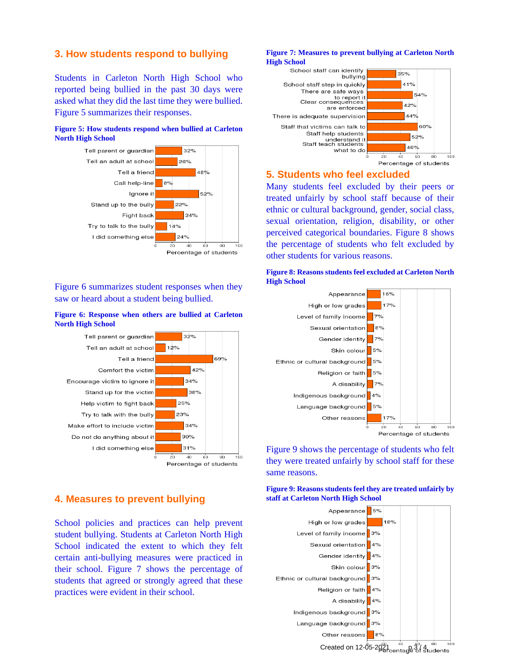# **3. How students respond to bullying**

Students in Carleton North High School who reported being bullied in the past 30 days were asked what they did the last time they were bullied. Figure 5 summarizes their responses.

#### **Figure 5: How students respond when bullied at Carleton North High School**



Figure 6 summarizes student responses when they saw or heard about a student being bullied.

#### **Figure 6: Response when others are bullied at Carleton North High School**



# **4. Measures to prevent bullying**

School policies and practices can help prevent student bullying. Students at Carleton North High School indicated the extent to which they felt certain anti-bullying measures were practiced in their school. Figure 7 shows the percentage of students that agreed or strongly agreed that these practices were evident in their school.

#### **Figure 7: Measures to prevent bullying at Carleton North High School**



# **5. Students who feel excluded**

Many students feel excluded by their peers or treated unfairly by school staff because of their ethnic or cultural background, gender, social class, sexual orientation, religion, disability, or other perceived categorical boundaries. Figure 8 shows the percentage of students who felt excluded by other students for various reasons.





Figure 9 shows the percentage of students who felt they were treated unfairly by school staff for these same reasons.

**Figure 9: Reasons students feel they are treated unfairly by staff at Carleton North High School**